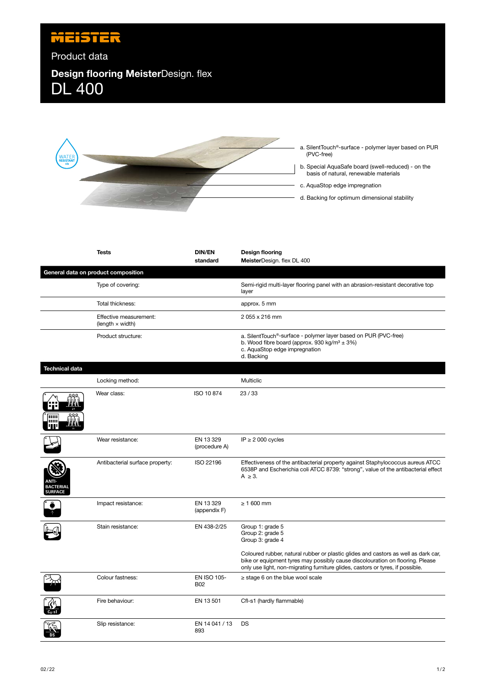

## DL 400 Product data **Design flooring Meister**Design. flex



basis of natural, renewable materials c. AquaStop edge impregnation d. Backing for optimum dimensional stability

|                               | <b>Tests</b>                                      | <b>DIN/EN</b><br>standard        | <b>Design flooring</b><br>MeisterDesign. flex DL 400                                                                                                                                                                                                  |
|-------------------------------|---------------------------------------------------|----------------------------------|-------------------------------------------------------------------------------------------------------------------------------------------------------------------------------------------------------------------------------------------------------|
|                               | General data on product composition               |                                  |                                                                                                                                                                                                                                                       |
|                               | Type of covering:                                 |                                  | Semi-rigid multi-layer flooring panel with an abrasion-resistant decorative top<br>layer                                                                                                                                                              |
|                               | Total thickness:                                  |                                  | approx. 5 mm                                                                                                                                                                                                                                          |
|                               | Effective measurement:<br>(length $\times$ width) |                                  | 2 055 x 216 mm                                                                                                                                                                                                                                        |
|                               | Product structure:                                |                                  | a. SilentTouch <sup>®</sup> -surface - polymer layer based on PUR (PVC-free)<br>b. Wood fibre board (approx. 930 kg/m <sup>3</sup> $\pm$ 3%)<br>c. AquaStop edge impregnation<br>d. Backing                                                           |
| <b>Technical data</b>         |                                                   |                                  |                                                                                                                                                                                                                                                       |
|                               | Locking method:                                   |                                  | Multiclic                                                                                                                                                                                                                                             |
|                               | Wear class:                                       | ISO 10 874                       | 23/33                                                                                                                                                                                                                                                 |
|                               | Wear resistance:                                  | EN 13 329<br>(procedure A)       | IP $\geq$ 2 000 cycles                                                                                                                                                                                                                                |
| ANTI-<br>BACTERIAL<br>SURFACE | Antibacterial surface property:                   | ISO 22196                        | Effectiveness of the antibacterial property against Staphylococcus aureus ATCC<br>6538P and Escherichia coli ATCC 8739: "strong", value of the antibacterial effect<br>$A \geq 3$ .                                                                   |
|                               | Impact resistance:                                | EN 13 329<br>(appendix F)        | $\geq 1600$ mm                                                                                                                                                                                                                                        |
|                               | Stain resistance:                                 | EN 438-2/25                      | Group 1: grade 5<br>Group 2: grade 5<br>Group 3: grade 4                                                                                                                                                                                              |
|                               |                                                   |                                  | Coloured rubber, natural rubber or plastic glides and castors as well as dark car,<br>bike or equipment tyres may possibly cause discolouration on flooring. Please<br>only use light, non-migrating furniture glides, castors or tyres, if possible. |
|                               | Colour fastness:                                  | <b>EN ISO 105-</b><br><b>B02</b> | $\ge$ stage 6 on the blue wool scale                                                                                                                                                                                                                  |
|                               | Fire behaviour:                                   | EN 13 501                        | Cfl-s1 (hardly flammable)                                                                                                                                                                                                                             |
|                               | Slip resistance:                                  | EN 14 041 / 13<br>893            | DS                                                                                                                                                                                                                                                    |